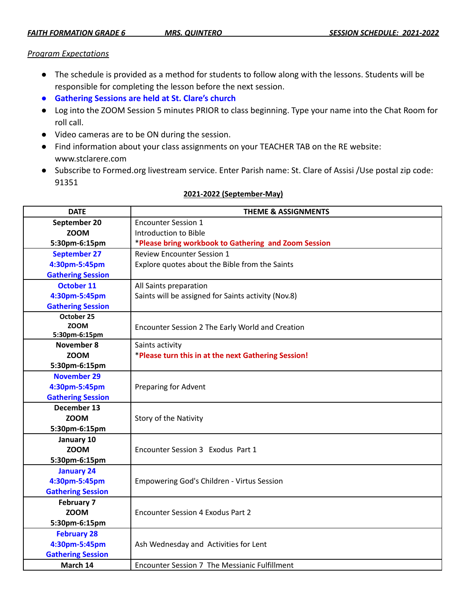## *Program Expectations*

- The schedule is provided as a method for students to follow along with the lessons. Students will be responsible for completing the lesson before the next session.
- **● Gathering Sessions are held at St. Clare's church**
- Log into the ZOOM Session 5 minutes PRIOR to class beginning. Type your name into the Chat Room for roll call.
- Video cameras are to be ON during the session.
- Find information about your class assignments on your TEACHER TAB on the RE website: www.stclarere.com
- Subscribe to Formed.org livestream service. Enter Parish name: St. Clare of Assisi /Use postal zip code: 91351

| <b>DATE</b>              | <b>THEME &amp; ASSIGNMENTS</b>                       |
|--------------------------|------------------------------------------------------|
| September 20             | <b>Encounter Session 1</b>                           |
| <b>ZOOM</b>              | Introduction to Bible                                |
| 5:30pm-6:15pm            | *Please bring workbook to Gathering and Zoom Session |
| <b>September 27</b>      | <b>Review Encounter Session 1</b>                    |
| 4:30pm-5:45pm            | Explore quotes about the Bible from the Saints       |
| <b>Gathering Session</b> |                                                      |
| <b>October 11</b>        | All Saints preparation                               |
| 4:30pm-5:45pm            | Saints will be assigned for Saints activity (Nov.8)  |
| <b>Gathering Session</b> |                                                      |
| October 25               |                                                      |
| <b>ZOOM</b>              | Encounter Session 2 The Early World and Creation     |
| 5:30pm-6:15pm            |                                                      |
| November 8               | Saints activity                                      |
| <b>ZOOM</b>              | *Please turn this in at the next Gathering Session!  |
| 5:30pm-6:15pm            |                                                      |
| <b>November 29</b>       |                                                      |
| 4:30pm-5:45pm            | Preparing for Advent                                 |
| <b>Gathering Session</b> |                                                      |
| December 13              |                                                      |
| <b>ZOOM</b>              | Story of the Nativity                                |
| 5:30pm-6:15pm            |                                                      |
| January 10               |                                                      |
| <b>ZOOM</b>              | Encounter Session 3 Exodus Part 1                    |
| 5:30pm-6:15pm            |                                                      |
| <b>January 24</b>        |                                                      |
| 4:30pm-5:45pm            | <b>Empowering God's Children - Virtus Session</b>    |
| <b>Gathering Session</b> |                                                      |
| <b>February 7</b>        |                                                      |
| <b>ZOOM</b>              | Encounter Session 4 Exodus Part 2                    |
| 5:30pm-6:15pm            |                                                      |
| <b>February 28</b>       |                                                      |
| 4:30pm-5:45pm            | Ash Wednesday and Activities for Lent                |
| <b>Gathering Session</b> |                                                      |
| March 14                 | Encounter Session 7 The Messianic Fulfillment        |

## **2021-2022 (September-May)**